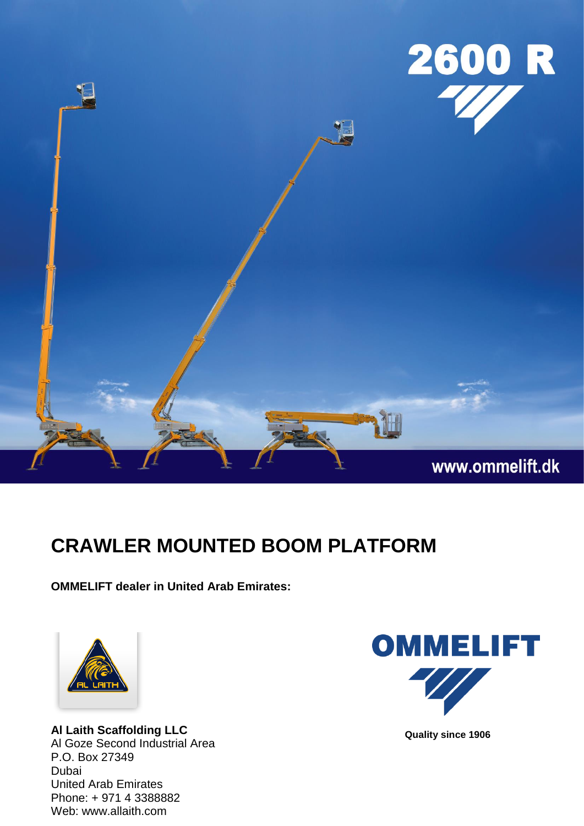

## **CRAWLER MOUNTED BOOM PLATFORM**

**OMMELIFT dealer in United Arab Emirates:**



**Al Laith Scaffolding LLC** Al Goze Second Industrial Area P.O. Box 27349 Dubai United Arab Emirates Phone: + 971 4 3388882 Web: www.allaith.com



 **Quality since 1906**